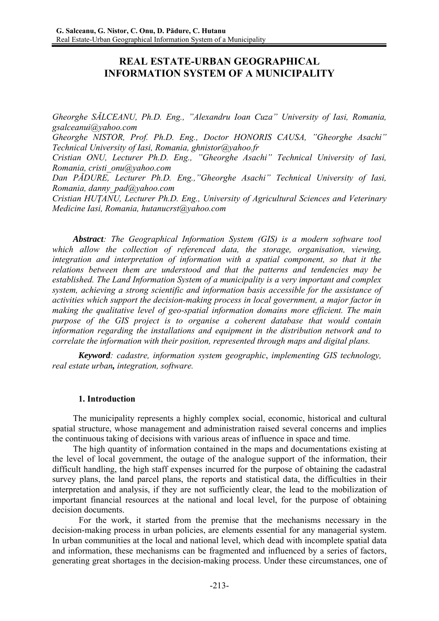# **REAL ESTATE-URBAN GEOGRAPHICAL INFORMATION SYSTEM OF A MUNICIPALITY**

*Gheorghe SĂLCEANU, Ph.D. Eng., "Alexandru Ioan Cuza" University of Iasi, Romania, gsalceanui@yahoo.com* 

*Gheorghe NISTOR, Prof. Ph.D. Eng., Doctor HONORIS CAUSA, "Gheorghe Asachi" Technical University of Iasi, Romania, ghnistor@yahoo.fr* 

*Cristian ONU, Lecturer Ph.D. Eng., "Gheorghe Asachi" Technical University of Iasi, Romania, cristi\_onu@yahoo.com*

*Dan PĂDURE, Lecturer Ph.D. Eng.,"Gheorghe Asachi" Technical University of Iasi, Romania, danny\_pad@yahoo.com* 

*Cristian HUŢANU, Lecturer Ph.D. Eng., University of Agricultural Sciences and Veterinary Medicine Iasi, Romania, hutanucrst@yahoo.com* 

*Abstract: The Geographical Information System (GIS) is a modern software tool which allow the collection of referenced data, the storage, organisation, viewing, integration and interpretation of information with a spatial component, so that it the relations between them are understood and that the patterns and tendencies may be established. The Land Information System of a municipality is a very important and complex system, achieving a strong scientific and information basis accessible for the assistance of activities which support the decision-making process in local government, a major factor in making the qualitative level of geo-spatial information domains more efficient. The main purpose of the GIS project is to organise a coherent database that would contain information regarding the installations and equipment in the distribution network and to correlate the information with their position, represented through maps and digital plans.*

*Keyword: cadastre, information system geographic*, *implementing GIS technology, real estate urban, integration, software.* 

#### **1. Introduction**

The municipality represents a highly complex social, economic, historical and cultural spatial structure, whose management and administration raised several concerns and implies the continuous taking of decisions with various areas of influence in space and time.

The high quantity of information contained in the maps and documentations existing at the level of local government, the outage of the analogue support of the information, their difficult handling, the high staff expenses incurred for the purpose of obtaining the cadastral survey plans, the land parcel plans, the reports and statistical data, the difficulties in their interpretation and analysis, if they are not sufficiently clear, the lead to the mobilization of important financial resources at the national and local level, for the purpose of obtaining decision documents.

 For the work, it started from the premise that the mechanisms necessary in the decision-making process in urban policies, are elements essential for any managerial system. In urban communities at the local and national level, which dead with incomplete spatial data and information, these mechanisms can be fragmented and influenced by a series of factors, generating great shortages in the decision-making process. Under these circumstances, one of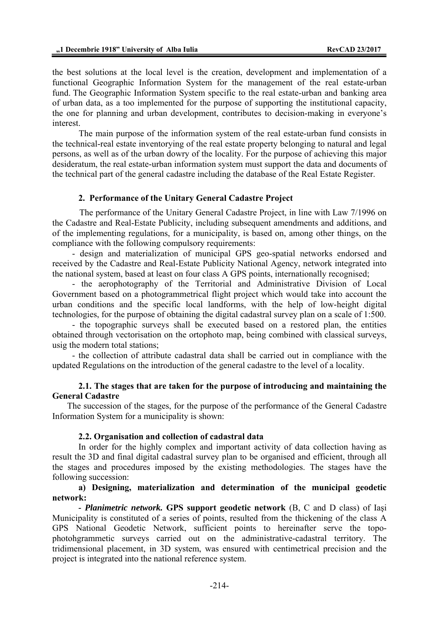the best solutions at the local level is the creation, development and implementation of a functional Geographic Information System for the management of the real estate-urban fund. The Geographic Information System specific to the real estate-urban and banking area of urban data, as a too implemented for the purpose of supporting the institutional capacity, the one for planning and urban development, contributes to decision-making in everyone's interest.

 The main purpose of the information system of the real estate-urban fund consists in the technical-real estate inventorying of the real estate property belonging to natural and legal persons, as well as of the urban dowry of the locality. For the purpose of achieving this major desideratum, the real estate-urban information system must support the data and documents of the technical part of the general cadastre including the database of the Real Estate Register.

#### **2. Performance of the Unitary General Cadastre Project**

 The performance of the Unitary General Cadastre Project, in line with Law 7/1996 on the Cadastre and Real-Estate Publicity, including subsequent amendments and additions, and of the implementing regulations, for a municipality, is based on, among other things, on the compliance with the following compulsory requirements:

- design and materialization of municipal GPS geo-spatial networks endorsed and received by the Cadastre and Real-Estate Publicity National Agency, network integrated into the national system, based at least on four class A GPS points, internationally recognised;

- the aerophotography of the Territorial and Administrative Division of Local Government based on a photogrammetrical flight project which would take into account the urban conditions and the specific local landforms, with the help of low-height digital technologies, for the purpose of obtaining the digital cadastral survey plan on a scale of 1:500.

- the topographic surveys shall be executed based on a restored plan, the entities obtained through vectorisation on the ortophoto map, being combined with classical surveys, usig the modern total stations;

- the collection of attribute cadastral data shall be carried out in compliance with the updated Regulations on the introduction of the general cadastre to the level of a locality.

#### **2.1. The stages that are taken for the purpose of introducing and maintaining the General Cadastre**

The succession of the stages, for the purpose of the performance of the General Cadastre Information System for a municipality is shown:

#### **2.2. Organisation and collection of cadastral data**

In order for the highly complex and important activity of data collection having as result the 3D and final digital cadastral survey plan to be organised and efficient, through all the stages and procedures imposed by the existing methodologies. The stages have the following succession:

#### **a) Designing, materialization and determination of the municipal geodetic network:**

*- Planimetric network.* **GPS support geodetic network** (B, C and D class) of Iaşi Municipality is constituted of a series of points, resulted from the thickening of the class A GPS National Geodetic Network, sufficient points to hereinafter serve the topophotohgrammetic surveys carried out on the administrative-cadastral territory. The tridimensional placement, in 3D system, was ensured with centimetrical precision and the project is integrated into the national reference system.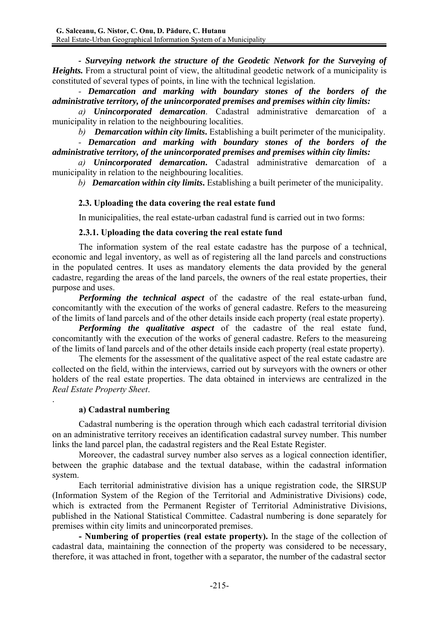*- Surveying network the structure of the Geodetic Network for the Surveying of Heights*. From a structural point of view, the altitudinal geodetic network of a municipality is constituted of several types of points, in line with the technical legislation.

*- Demarcation and marking with boundary stones of the borders of the administrative territory, of the unincorporated premises and premises within city limits:*

*a) Unincorporated demarcation*. Cadastral administrative demarcation of a municipality in relation to the neighbouring localities.

*b) Demarcation within city limits***.** Establishing a built perimeter of the municipality.

*- Demarcation and marking with boundary stones of the borders of the administrative territory, of the unincorporated premises and premises within city limits:* 

 *a) Unincorporated demarcation***.** Cadastral administrative demarcation of a municipality in relation to the neighbouring localities.

 *b) Demarcation within city limits***.** Establishing a built perimeter of the municipality.

## **2.3. Uploading the data covering the real estate fund**

In municipalities, the real estate-urban cadastral fund is carried out in two forms:

### **2.3.1. Uploading the data covering the real estate fund**

 The information system of the real estate cadastre has the purpose of a technical, economic and legal inventory, as well as of registering all the land parcels and constructions in the populated centres. It uses as mandatory elements the data provided by the general cadastre, regarding the areas of the land parcels, the owners of the real estate properties, their purpose and uses.

 *Performing the technical aspect* of the cadastre of the real estate-urban fund, concomitantly with the execution of the works of general cadastre. Refers to the measureing of the limits of land parcels and of the other details inside each property (real estate property).

 *Performing the qualitative aspect* of the cadastre of the real estate fund, concomitantly with the execution of the works of general cadastre. Refers to the measureing of the limits of land parcels and of the other details inside each property (real estate property).

 The elements for the assessment of the qualitative aspect of the real estate cadastre are collected on the field, within the interviews, carried out by surveyors with the owners or other holders of the real estate properties. The data obtained in interviews are centralized in the *Real Estate Property Sheet*.

## **a) Cadastral numbering**

.

 Cadastral numbering is the operation through which each cadastral territorial division on an administrative territory receives an identification cadastral survey number. This number links the land parcel plan, the cadastral registers and the Real Estate Register.

 Moreover, the cadastral survey number also serves as a logical connection identifier, between the graphic database and the textual database, within the cadastral information system.

 Each territorial administrative division has a unique registration code, the SIRSUP (Information System of the Region of the Territorial and Administrative Divisions) code, which is extracted from the Permanent Register of Territorial Administrative Divisions, published in the National Statistical Committee. Cadastral numbering is done separately for premises within city limits and unincorporated premises.

 **- Numbering of properties (real estate property).** In the stage of the collection of cadastral data, maintaining the connection of the property was considered to be necessary, therefore, it was attached in front, together with a separator, the number of the cadastral sector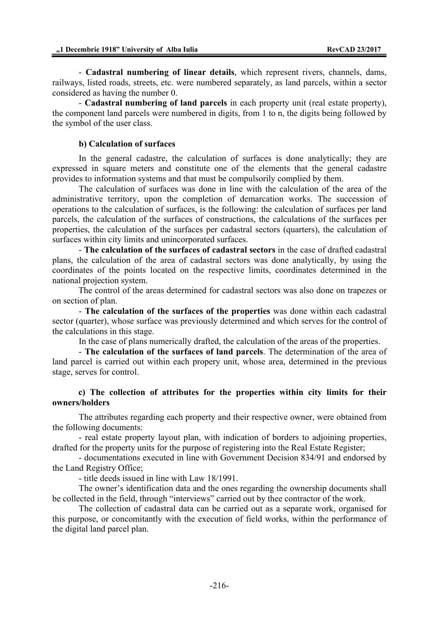- **Cadastral numbering of linear details**, which represent rivers, channels, dams, railways, listed roads, streets, etc. were numbered separately, as land parcels, within a sector considered as having the number 0.

 - **Cadastral numbering of land parcels** in each property unit (real estate property), the component land parcels were numbered in digits, from 1 to n, the digits being followed by the symbol of the user class.

#### **b).Calculation of surfaces**

 In the general cadastre, the calculation of surfaces is done analytically; they are expressed in square meters and constitute one of the elements that the general cadastre provides to information systems and that must be compulsorily complied by them.

 The calculation of surfaces was done in line with the calculation of the area of the administrative territory, upon the completion of demarcation works. The succession of operations to the calculation of surfaces, is the following: the calculation of surfaces per land parcels, the calculation of the surfaces of constructions, the calculations of the surfaces per properties, the calculation of the surfaces per cadastral sectors (quarters), the calculation of surfaces within city limits and unincorporated surfaces.

 - **The calculation of the surfaces of cadastral sectors** in the case of drafted cadastral plans, the calculation of the area of cadastral sectors was done analytically, by using the coordinates of the points located on the respective limits, coordinates determined in the national projection system.

 The control of the areas determined for cadastral sectors was also done on trapezes or on section of plan.

 - **The calculation of the surfaces of the properties** was done within each cadastral sector (quarter), whose surface was previously determined and which serves for the control of the calculations in this stage.

In the case of plans numerically drafted, the calculation of the areas of the properties.

 - **The calculation of the surfaces of land parcels**. The determination of the area of land parcel is carried out within each propery unit, whose area, determined in the previous stage, serves for control.

### **c) The collection of attributes for the properties within city limits for their owners/holders**

 The attributes regarding each property and their respective owner, were obtained from the following documents:

 - real estate property layout plan, with indication of borders to adjoining properties, drafted for the property units for the purpose of registering into the Real Estate Register;

 - documentations executed in line with Government Decision 834/91 and endorsed by the Land Registry Office;

- title deeds issued in line with Law 18/1991.

 The owner's identification data and the ones regarding the ownership documents shall be collected in the field, through "interviews" carried out by thee contractor of the work.

 The collection of cadastral data can be carried out as a separate work, organised for this purpose, or concomitantly with the execution of field works, within the performance of the digital land parcel plan.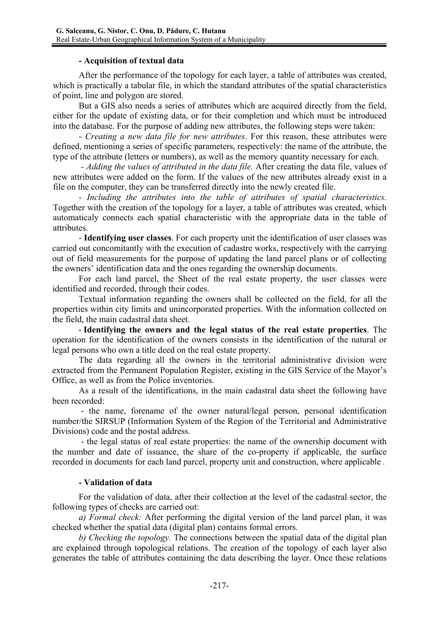### **- Acquisition of textual data**

 After the performance of the topology for each layer, a table of attributes was created, which is practically a tabular file, in which the standard attributes of the spatial characteristics of point, line and polygon are stored.

 But a GIS also needs a series of attributes which are acquired directly from the field, either for the update of existing data, or for their completion and which must be introduced into the database. For the purpose of adding new attributes, the following steps were taken:

 - *Creating a new data file for new attributes*. For this reason, these attributes were defined, mentioning a series of specific parameters, respectively: the name of the attribute, the type of the attribute (letters or numbers), as well as the memory quantity necessary for each.

 *- Adding the values of attributed in the data file.* After creating the data file, values of new attributes were added on the form. If the values of the new attributes already exist in a file on the computer, they can be transferred directly into the newly created file.

 *- Including the attributes into the table of attributes of spatial characteristics.*  Together with the creation of the topology for a layer, a table of attributes was created, which automaticaly connects each spatial characteristic with the appropriate data in the table of attributes.

 - **Identifying user classes**. For each property unit the identification of user classes was carried out concomitantly with the execution of cadastre works, respectively with the carrying out of field measurements for the purpose of updating the land parcel plans or of collecting the owners' identification data and the ones regarding the ownership documents.

 For each land parcel, the Sheet of the real estate property, the user classes were identified and recorded, through their codes.

 Textual information regarding the owners shall be collected on the field, for all the properties within city limits and unincorporated properties. With the information collected on the field, the main cadastral data sheet.

- **Identifying the owners and the legal status of the real estate properties**. The operation for the identification of the owners consists in the identification of the natural or legal persons who own a title deed on the real estate property.

 The data regarding all the owners in the territorial administrative division were extracted from the Permanent Population Register, existing in the GIS Service of the Mayor's Office, as well as from the Police inventories.

 As a result of the identifications, in the main cadastral data sheet the following have been recorded:

- the name, forename of the owner natural/legal person, personal identification number/the SIRSUP (Information System of the Region of the Territorial and Administrative Divisions) code and the postal address.

- the legal status of real estate properties: the name of the ownership document with the number and date of issuance, the share of the co-property if applicable, the surface recorded in documents for each land parcel, property unit and construction, where applicable *.*

## **- Validation of data**

 For the validation of data, after their collection at the level of the cadastral sector, the following types of checks are carried out:

 *a) Formal check:* After performing the digital version of the land parcel plan, it was checked whether the spatial data (digital plan) contains formal errors.

 *b) Checking the topology.* The connections between the spatial data of the digital plan are explained through topological relations. The creation of the topology of each layer also generates the table of attributes containing the data describing the layer. Once these relations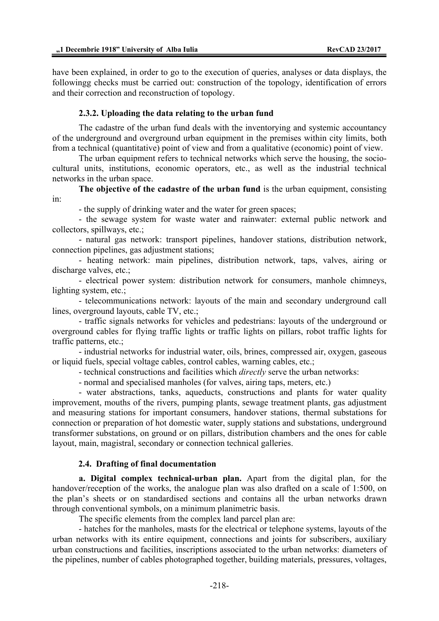have been explained, in order to go to the execution of queries, analyses or data displays, the followingg checks must be carried out: construction of the topology, identification of errors and their correction and reconstruction of topology.

#### **2.3.2. Uploading the data relating to the urban fund**

 The cadastre of the urban fund deals with the inventorying and systemic accountancy of the underground and overground urban equipment in the premises within city limits, both from a technical (quantitative) point of view and from a qualitative (economic) point of view.

The urban equipment refers to technical networks which serve the housing, the sociocultural units, institutions, economic operators, etc., as well as the industrial technical networks in the urban space.

 **The objective of the cadastre of the urban fund** is the urban equipment, consisting in:

- the supply of drinking water and the water for green spaces;

 - the sewage system for waste water and rainwater: external public network and collectors, spillways, etc.;

 - natural gas network: transport pipelines, handover stations, distribution network, connection pipelines, gas adjustment stations;

 - heating network: main pipelines, distribution network, taps, valves, airing or discharge valves, etc.;

 - electrical power system: distribution network for consumers, manhole chimneys, lighting system, etc.;

 - telecommunications network: layouts of the main and secondary underground call lines, overground layouts, cable TV, etc.;

 - traffic signals networks for vehicles and pedestrians: layouts of the underground or overground cables for flying traffic lights or traffic lights on pillars, robot traffic lights for traffic patterns, etc.;

 - industrial networks for industrial water, oils, brines, compressed air, oxygen, gaseous or liquid fuels, special voltage cables, control cables, warning cables, etc.;

- technical constructions and facilities which *directly* serve the urban networks:

- normal and specialised manholes (for valves, airing taps, meters, etc.)

 - water abstractions, tanks, aqueducts, constructions and plants for water quality improvement, mouths of the rivers, pumping plants, sewage treatment plants, gas adjustment and measuring stations for important consumers, handover stations, thermal substations for connection or preparation of hot domestic water, supply stations and substations, underground transformer substations, on ground or on pillars, distribution chambers and the ones for cable layout, main, magistral, secondary or connection technical galleries.

#### **2.4. Drafting of final documentation**

 **a. Digital complex technical-urban plan.** Apart from the digital plan, for the handover/reception of the works, the analogue plan was also drafted on a scale of 1:500, on the plan's sheets or on standardised sections and contains all the urban networks drawn through conventional symbols, on a minimum planimetric basis.

The specific elements from the complex land parcel plan are:

 - hatches for the manholes, masts for the electrical or telephone systems, layouts of the urban networks with its entire equipment, connections and joints for subscribers, auxiliary urban constructions and facilities, inscriptions associated to the urban networks: diameters of the pipelines, number of cables photographed together, building materials, pressures, voltages,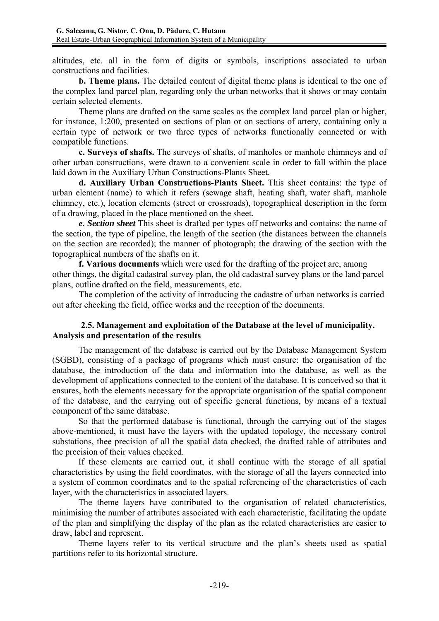altitudes, etc. all in the form of digits or symbols, inscriptions associated to urban constructions and facilities.

 **b. Theme plans.** The detailed content of digital theme plans is identical to the one of the complex land parcel plan, regarding only the urban networks that it shows or may contain certain selected elements.

 Theme plans are drafted on the same scales as the complex land parcel plan or higher, for instance, 1:200, presented on sections of plan or on sections of artery, containing only a certain type of network or two three types of networks functionally connected or with compatible functions.

 **c. Surveys of shafts.** The surveys of shafts, of manholes or manhole chimneys and of other urban constructions, were drawn to a convenient scale in order to fall within the place laid down in the Auxiliary Urban Constructions-Plants Sheet.

 **d. Auxiliary Urban Constructions-Plants Sheet.** This sheet contains: the type of urban element (name) to which it refers (sewage shaft, heating shaft, water shaft, manhole chimney, etc.), location elements (street or crossroads), topographical description in the form of a drawing, placed in the place mentioned on the sheet.

 *e. Section sheet* This sheet is drafted per types off networks and contains: the name of the section, the type of pipeline, the length of the section (the distances between the channels on the section are recorded); the manner of photograph; the drawing of the section with the topographical numbers of the shafts on it.

 **f. Various documents** which were used for the drafting of the project are, among other things, the digital cadastral survey plan, the old cadastral survey plans or the land parcel plans, outline drafted on the field, measurements, etc.

 The completion of the activity of introducing the cadastre of urban networks is carried out after checking the field, office works and the reception of the documents.

## **2.5. Management and exploitation of the Database at the level of municipality. Analysis and presentation of the results**

The management of the database is carried out by the Database Management System (SGBD), consisting of a package of programs which must ensure: the organisation of the database, the introduction of the data and information into the database, as well as the development of applications connected to the content of the database. It is conceived so that it ensures, both the elements necessary for the appropriate organisation of the spatial component of the database, and the carrying out of specific general functions, by means of a textual component of the same database.

So that the performed database is functional, through the carrying out of the stages above-mentioned, it must have the layers with the updated topology, the necessary control substations, thee precision of all the spatial data checked, the drafted table of attributes and the precision of their values checked.

If these elements are carried out, it shall continue with the storage of all spatial characteristics by using the field coordinates, with the storage of all the layers connected into a system of common coordinates and to the spatial referencing of the characteristics of each layer, with the characteristics in associated layers.

The theme layers have contributed to the organisation of related characteristics, minimising the number of attributes associated with each characteristic, facilitating the update of the plan and simplifying the display of the plan as the related characteristics are easier to draw, label and represent.

Theme layers refer to its vertical structure and the plan's sheets used as spatial partitions refer to its horizontal structure.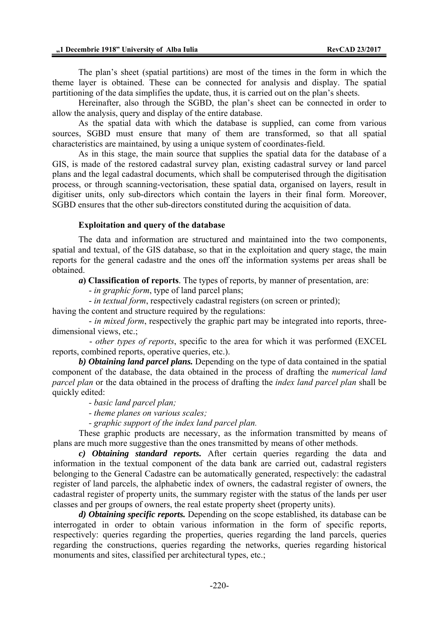The plan's sheet (spatial partitions) are most of the times in the form in which the theme layer is obtained. These can be connected for analysis and display. The spatial partitioning of the data simplifies the update, thus, it is carried out on the plan's sheets.

Hereinafter, also through the SGBD, the plan's sheet can be connected in order to allow the analysis, query and display of the entire database.

As the spatial data with which the database is supplied, can come from various sources, SGBD must ensure that many of them are transformed, so that all spatial characteristics are maintained, by using a unique system of coordinates-field.

As in this stage, the main source that supplies the spatial data for the database of a GIS, is made of the restored cadastral survey plan, existing cadastral survey or land parcel plans and the legal cadastral documents, which shall be computerised through the digitisation process, or through scanning-vectorisation, these spatial data, organised on layers, result in digitiser units, only sub-directors which contain the layers in their final form. Moreover, SGBD ensures that the other sub-directors constituted during the acquisition of data.

#### **Exploitation and query of the database**

The data and information are structured and maintained into the two components, spatial and textual, of the GIS database, so that in the exploitation and query stage, the main reports for the general cadastre and the ones off the information systems per areas shall be obtained.

 *a***) Classification of reports**. The types of reports, by manner of presentation, are:

- *in graphic form*, type of land parcel plans;

- *in textual form*, respectively cadastral registers (on screen or printed);

having the content and structure required by the regulations:

 - *in mixed form*, respectively the graphic part may be integrated into reports, threedimensional views, etc.;

 - *other types of reports*, specific to the area for which it was performed (EXCEL reports, combined reports, operative queries, etc.).

 *b) Obtaining land parcel plans.* Depending on the type of data contained in the spatial component of the database, the data obtained in the process of drafting the *numerical land parcel plan* or the data obtained in the process of drafting the *index land parcel plan* shall be quickly edited:

*- basic land parcel plan;* 

*- theme planes on various scales;* 

*- graphic support of the index land parcel plan.* 

 These graphic products are necessary, as the information transmitted by means of plans are much more suggestive than the ones transmitted by means of other methods.

 *c) Obtaining standard reports.* After certain queries regarding the data and information in the textual component of the data bank are carried out, cadastral registers belonging to the General Cadastre can be automatically generated, respectively: the cadastral register of land parcels, the alphabetic index of owners, the cadastral register of owners, the cadastral register of property units, the summary register with the status of the lands per user classes and per groups of owners, the real estate property sheet (property units).

 *d) Obtaining specific reports.* Depending on the scope established, its database can be interrogated in order to obtain various information in the form of specific reports, respectively: queries regarding the properties, queries regarding the land parcels, queries regarding the constructions, queries regarding the networks, queries regarding historical monuments and sites, classified per architectural types, etc.;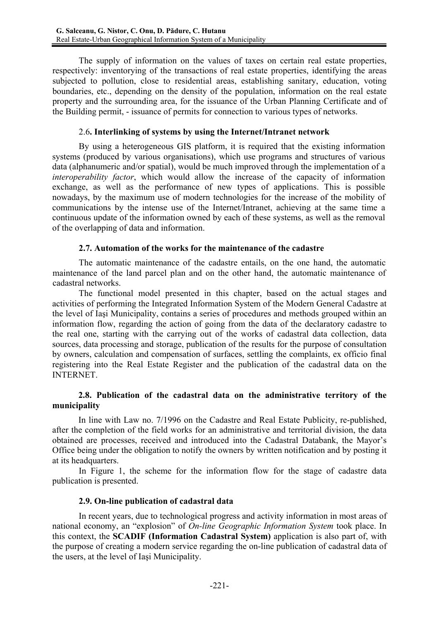The supply of information on the values of taxes on certain real estate properties, respectively: inventorying of the transactions of real estate properties, identifying the areas subjected to pollution, close to residential areas, establishing sanitary, education, voting boundaries, etc., depending on the density of the population, information on the real estate property and the surrounding area, for the issuance of the Urban Planning Certificate and of the Building permit, - issuance of permits for connection to various types of networks.

## 2.6**. Interlinking of systems by using the Internet/Intranet network**

 By using a heterogeneous GIS platform, it is required that the existing information systems (produced by various organisations), which use programs and structures of various data (alphanumeric and/or spatial), would be much improved through the implementation of a *interoperability factor*, which would allow the increase of the capacity of information exchange, as well as the performance of new types of applications. This is possible nowadays, by the maximum use of modern technologies for the increase of the mobility of communications by the intense use of the Internet/Intranet, achieving at the same time a continuous update of the information owned by each of these systems, as well as the removal of the overlapping of data and information.

## **2.7. Automation of the works for the maintenance of the cadastre**

 The automatic maintenance of the cadastre entails, on the one hand, the automatic maintenance of the land parcel plan and on the other hand, the automatic maintenance of cadastral networks.

 The functional model presented in this chapter, based on the actual stages and activities of performing the Integrated Information System of the Modern General Cadastre at the level of Iaşi Municipality, contains a series of procedures and methods grouped within an information flow, regarding the action of going from the data of the declaratory cadastre to the real one, starting with the carrying out of the works of cadastral data collection, data sources, data processing and storage, publication of the results for the purpose of consultation by owners, calculation and compensation of surfaces, settling the complaints, ex officio final registering into the Real Estate Register and the publication of the cadastral data on the INTERNET.

## **2.8. Publication of the cadastral data on the administrative territory of the municipality**

 In line with Law no. 7/1996 on the Cadastre and Real Estate Publicity, re-published, after the completion of the field works for an administrative and territorial division, the data obtained are processes, received and introduced into the Cadastral Databank, the Mayor's Office being under the obligation to notify the owners by written notification and by posting it at its headquarters.

 In Figure 1, the scheme for the information flow for the stage of cadastre data publication is presented.

## **2.9. On-line publication of cadastral data**

 In recent years, due to technological progress and activity information in most areas of national economy, an "explosion" of *On-line Geographic Information System* took place. In this context, the **SCADIF (Information Cadastral System)** application is also part of, with the purpose of creating a modern service regarding the on-line publication of cadastral data of the users, at the level of Iaşi Municipality.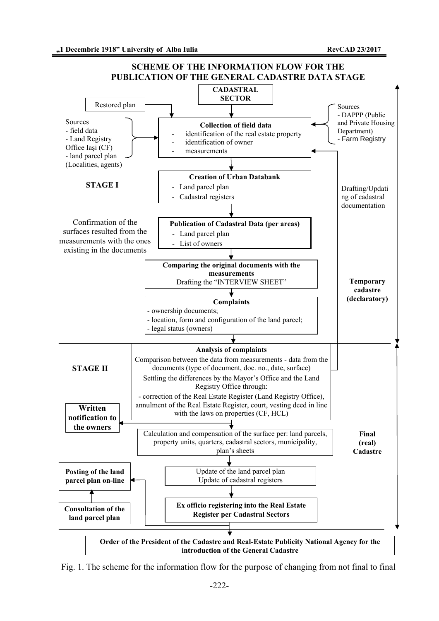

Fig. 1. The scheme for the information flow for the purpose of changing from not final to final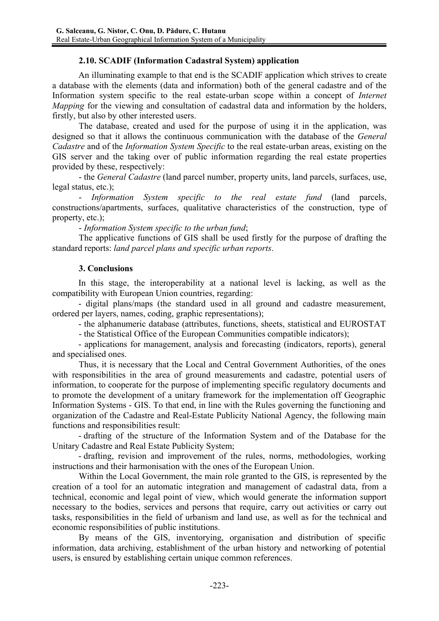## **2.10. SCADIF (Information Cadastral System) application**

 An illuminating example to that end is the SCADIF application which strives to create a database with the elements (data and information) both of the general cadastre and of the Information system specific to the real estate-urban scope within a concept of *Internet Mapping* for the viewing and consultation of cadastral data and information by the holders, firstly, but also by other interested users.

 The database, created and used for the purpose of using it in the application, was designed so that it allows the continuous communication with the database of the *General Cadastre* and of the *Information System Specific* to the real estate-urban areas, existing on the GIS server and the taking over of public information regarding the real estate properties provided by these, respectively:

 - the *General Cadastre* (land parcel number, property units, land parcels, surfaces, use, legal status, etc.);

 - *Information System specific to the real estate fund* (land parcels, constructions/apartments, surfaces, qualitative characteristics of the construction, type of property, etc.);

- *Information System specific to the urban fund*;

 The applicative functions of GIS shall be used firstly for the purpose of drafting the standard reports: *land parcel plans and specific urban reports*.

## **3. Conclusions**

In this stage, the interoperability at a national level is lacking, as well as the compatibility with European Union countries, regarding:

- digital plans/maps (the standard used in all ground and cadastre measurement, ordered per layers, names, coding, graphic representations);

- the alphanumeric database (attributes, functions, sheets, statistical and EUROSTAT

- the Statistical Office of the European Communities compatible indicators);

 - applications for management, analysis and forecasting (indicators, reports), general and specialised ones.

 Thus, it is necessary that the Local and Central Government Authorities, of the ones with responsibilities in the area of ground measurements and cadastre, potential users of information, to cooperate for the purpose of implementing specific regulatory documents and to promote the development of a unitary framework for the implementation off Geographic Information Systems - GIS. To that end, in line with the Rules governing the functioning and organization of the Cadastre and Real-Estate Publicity National Agency, the following main functions and responsibilities result:

- drafting of the structure of the Information System and of the Database for the Unitary Cadastre and Real Estate Publicity System;

- drafting, revision and improvement of the rules, norms, methodologies, working instructions and their harmonisation with the ones of the European Union.

Within the Local Government, the main role granted to the GIS, is represented by the creation of a tool for an automatic integration and management of cadastral data, from a technical, economic and legal point of view, which would generate the information support necessary to the bodies, services and persons that require, carry out activities or carry out tasks, responsibilities in the field of urbanism and land use, as well as for the technical and economic responsibilities of public institutions.

 By means of the GIS, inventorying, organisation and distribution of specific information, data archiving, establishment of the urban history and networking of potential users, is ensured by establishing certain unique common references.